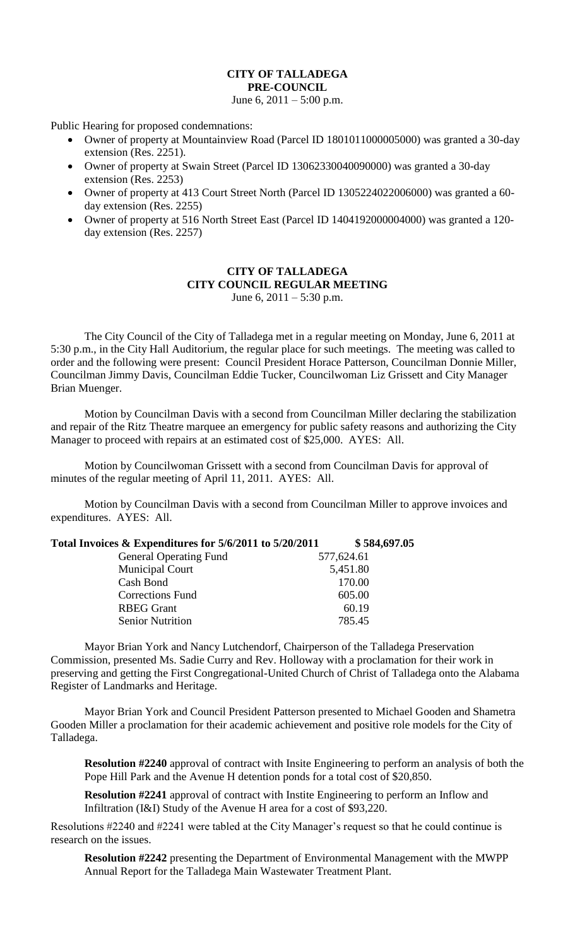## **CITY OF TALLADEGA PRE-COUNCIL**

June 6,  $2011 - 5:00$  p.m.

Public Hearing for proposed condemnations:

- Owner of property at Mountainview Road (Parcel ID 1801011000005000) was granted a 30-day extension (Res. 2251).
- Owner of property at Swain Street (Parcel ID 13062330040090000) was granted a 30-day extension (Res. 2253)
- Owner of property at 413 Court Street North (Parcel ID 1305224022006000) was granted a 60 day extension (Res. 2255)
- Owner of property at 516 North Street East (Parcel ID 1404192000004000) was granted a 120 day extension (Res. 2257)

## **CITY OF TALLADEGA CITY COUNCIL REGULAR MEETING** June 6,  $2011 - 5:30$  p.m.

The City Council of the City of Talladega met in a regular meeting on Monday, June 6, 2011 at 5:30 p.m., in the City Hall Auditorium, the regular place for such meetings. The meeting was called to order and the following were present: Council President Horace Patterson, Councilman Donnie Miller, Councilman Jimmy Davis, Councilman Eddie Tucker, Councilwoman Liz Grissett and City Manager Brian Muenger.

Motion by Councilman Davis with a second from Councilman Miller declaring the stabilization and repair of the Ritz Theatre marquee an emergency for public safety reasons and authorizing the City Manager to proceed with repairs at an estimated cost of \$25,000. AYES: All.

Motion by Councilwoman Grissett with a second from Councilman Davis for approval of minutes of the regular meeting of April 11, 2011. AYES: All.

Motion by Councilman Davis with a second from Councilman Miller to approve invoices and expenditures. AYES: All.

| Total Invoices & Expenditures for 5/6/2011 to 5/20/2011 | \$584,697.05 |
|---------------------------------------------------------|--------------|
| <b>General Operating Fund</b>                           | 577,624.61   |
| <b>Municipal Court</b>                                  | 5,451.80     |
| Cash Bond                                               | 170.00       |
| <b>Corrections Fund</b>                                 | 605.00       |
| <b>RBEG Grant</b>                                       | 60.19        |
| <b>Senior Nutrition</b>                                 | 785.45       |
|                                                         |              |

Mayor Brian York and Nancy Lutchendorf, Chairperson of the Talladega Preservation Commission, presented Ms. Sadie Curry and Rev. Holloway with a proclamation for their work in preserving and getting the First Congregational-United Church of Christ of Talladega onto the Alabama Register of Landmarks and Heritage.

Mayor Brian York and Council President Patterson presented to Michael Gooden and Shametra Gooden Miller a proclamation for their academic achievement and positive role models for the City of Talladega.

**Resolution #2240** approval of contract with Insite Engineering to perform an analysis of both the Pope Hill Park and the Avenue H detention ponds for a total cost of \$20,850.

**Resolution #2241** approval of contract with Instite Engineering to perform an Inflow and Infiltration (I&I) Study of the Avenue H area for a cost of \$93,220.

Resolutions #2240 and #2241 were tabled at the City Manager's request so that he could continue is research on the issues.

**Resolution #2242** presenting the Department of Environmental Management with the MWPP Annual Report for the Talladega Main Wastewater Treatment Plant.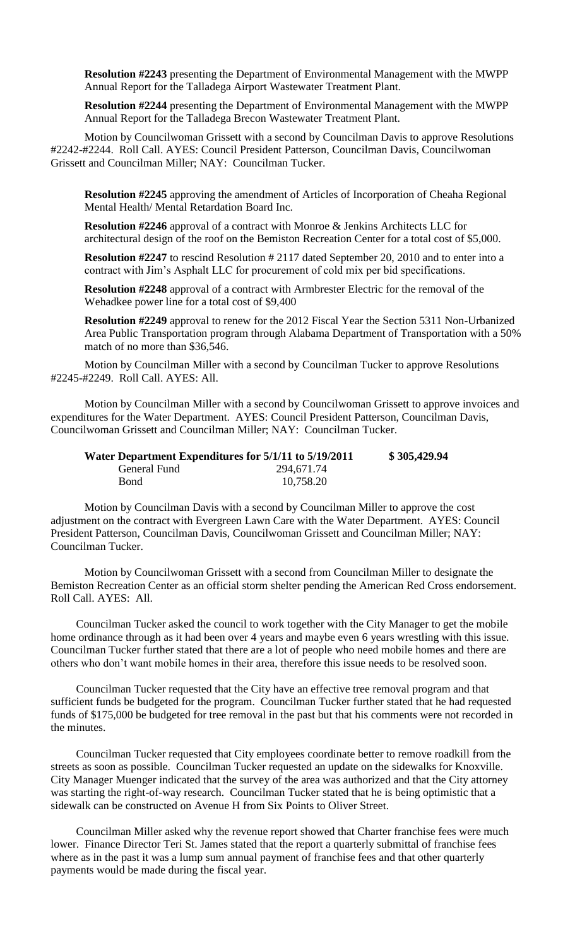**Resolution #2243** presenting the Department of Environmental Management with the MWPP Annual Report for the Talladega Airport Wastewater Treatment Plant.

**Resolution #2244** presenting the Department of Environmental Management with the MWPP Annual Report for the Talladega Brecon Wastewater Treatment Plant.

Motion by Councilwoman Grissett with a second by Councilman Davis to approve Resolutions #2242-#2244. Roll Call. AYES: Council President Patterson, Councilman Davis, Councilwoman Grissett and Councilman Miller; NAY: Councilman Tucker.

**Resolution #2245** approving the amendment of Articles of Incorporation of Cheaha Regional Mental Health/ Mental Retardation Board Inc.

**Resolution #2246** approval of a contract with Monroe & Jenkins Architects LLC for architectural design of the roof on the Bemiston Recreation Center for a total cost of \$5,000.

**Resolution #2247** to rescind Resolution # 2117 dated September 20, 2010 and to enter into a contract with Jim's Asphalt LLC for procurement of cold mix per bid specifications.

**Resolution #2248** approval of a contract with Armbrester Electric for the removal of the Wehadkee power line for a total cost of \$9,400

**Resolution #2249** approval to renew for the 2012 Fiscal Year the Section 5311 Non-Urbanized Area Public Transportation program through Alabama Department of Transportation with a 50% match of no more than \$36,546.

Motion by Councilman Miller with a second by Councilman Tucker to approve Resolutions #2245-#2249. Roll Call. AYES: All.

Motion by Councilman Miller with a second by Councilwoman Grissett to approve invoices and expenditures for the Water Department. AYES: Council President Patterson, Councilman Davis, Councilwoman Grissett and Councilman Miller; NAY: Councilman Tucker.

| Water Department Expenditures for 5/1/11 to 5/19/2011 |            | \$305,429.94 |
|-------------------------------------------------------|------------|--------------|
| General Fund                                          | 294,671.74 |              |
| <b>Bond</b>                                           | 10,758.20  |              |

Motion by Councilman Davis with a second by Councilman Miller to approve the cost adjustment on the contract with Evergreen Lawn Care with the Water Department. AYES: Council President Patterson, Councilman Davis, Councilwoman Grissett and Councilman Miller; NAY: Councilman Tucker.

Motion by Councilwoman Grissett with a second from Councilman Miller to designate the Bemiston Recreation Center as an official storm shelter pending the American Red Cross endorsement. Roll Call. AYES: All.

Councilman Tucker asked the council to work together with the City Manager to get the mobile home ordinance through as it had been over 4 years and maybe even 6 years wrestling with this issue. Councilman Tucker further stated that there are a lot of people who need mobile homes and there are others who don't want mobile homes in their area, therefore this issue needs to be resolved soon.

Councilman Tucker requested that the City have an effective tree removal program and that sufficient funds be budgeted for the program. Councilman Tucker further stated that he had requested funds of \$175,000 be budgeted for tree removal in the past but that his comments were not recorded in the minutes.

Councilman Tucker requested that City employees coordinate better to remove roadkill from the streets as soon as possible. Councilman Tucker requested an update on the sidewalks for Knoxville. City Manager Muenger indicated that the survey of the area was authorized and that the City attorney was starting the right-of-way research. Councilman Tucker stated that he is being optimistic that a sidewalk can be constructed on Avenue H from Six Points to Oliver Street.

Councilman Miller asked why the revenue report showed that Charter franchise fees were much lower. Finance Director Teri St. James stated that the report a quarterly submittal of franchise fees where as in the past it was a lump sum annual payment of franchise fees and that other quarterly payments would be made during the fiscal year.